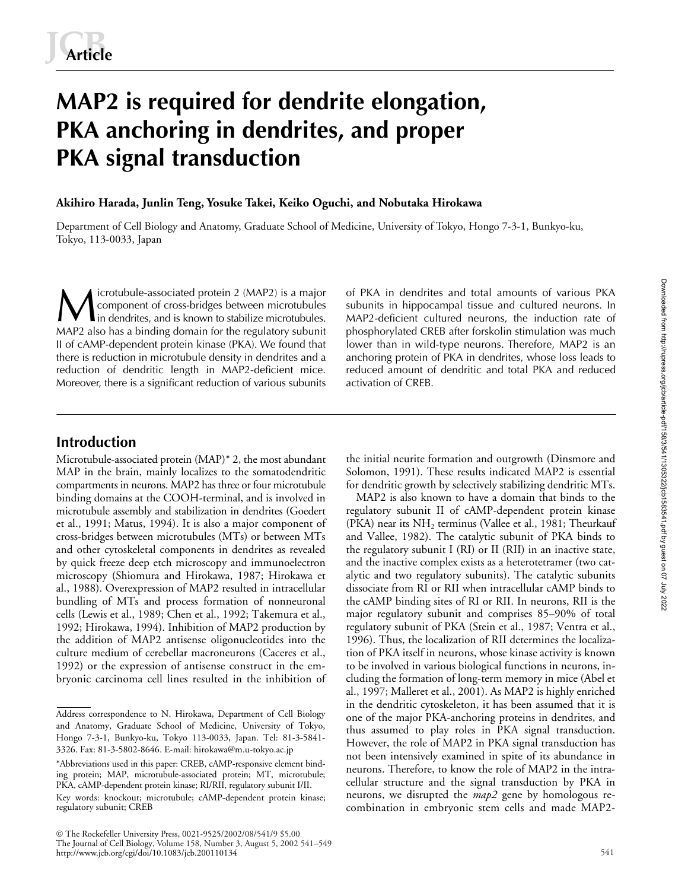# **MAP2 is required for dendrite elongation, PKA anchoring in dendrites, and proper PKA signal transduction**

#### **Akihiro Harada, Junlin Teng, Yosuke Takei, Keiko Oguchi, and Nobutaka Hirokawa**

Department of Cell Biology and Anatomy, Graduate School of Medicine, University of Tokyo, Hongo 7-3-1, Bunkyo-ku, Tokyo, 113-0033, Japan

icrotubule-associated protein 2 (MAP2) is a major component of cross-bridges between microtubules In dendrites, and is known to stabilize microtubules and total amounts of various PKA in dendrites and total amounts of various PKA subunits in hippocampal tissue and cultured neurons. In in dendrites, and is known to stab MAP2 also has a binding domain for the regulatory subunit II of cAMP-dependent protein kinase (PKA). We found that there is reduction in microtubule density in dendrites and a reduction of dendritic length in MAP2-deficient mice. Moreover, there is a significant reduction of various subunits

subunits in hippocampal tissue and cultured neurons. In MAP2-deficient cultured neurons, the induction rate of phosphorylated CREB after forskolin stimulation was much lower than in wild-type neurons. Therefore, MAP2 is an anchoring protein of PKA in dendrites, whose loss leads to reduced amount of dendritic and total PKA and reduced activation of CREB.

# **Introduction**

Microtubule-associated protein (MAP)\* 2, the most abundant MAP in the brain, mainly localizes to the somatodendritic compartments in neurons. MAP2 has three or four microtubule binding domains at the COOH-terminal, and is involved in microtubule assembly and stabilization in dendrites (Goedert et al., 1991; Matus, 1994). It is also a major component of cross-bridges between microtubules (MTs) or between MTs and other cytoskeletal components in dendrites as revealed by quick freeze deep etch microscopy and immunoelectron microscopy (Shiomura and Hirokawa, 1987; Hirokawa et al., 1988). Overexpression of MAP2 resulted in intracellular bundling of MTs and process formation of nonneuronal cells (Lewis et al., 1989; Chen et al., 1992; Takemura et al., 1992; Hirokawa, 1994). Inhibition of MAP2 production by the addition of MAP2 antisense oligonucleotides into the culture medium of cerebellar macroneurons (Caceres et al., 1992) or the expression of antisense construct in the embryonic carcinoma cell lines resulted in the inhibition of

 The Rockefeller University Press, 0021-9525/2002/08/541/9 \$5.00 The Journal of Cell Biology, Volume 158, Number 3, August 5, 2002 541–549 http://www.jcb.org/cgi/doi/10.1083/jcb.200110134

Downloaded from http://rupress.org/jcb/article-pdf/158/341/1305322/jcb1583541.pdf by guest on 07 July 2022 Downloaded from http://rupress.org/jcb/article-pdf/158/3/541/1305322/jcb1583541.pdf by guest on 07 July 2022

the initial neurite formation and outgrowth (Dinsmore and Solomon, 1991). These results indicated MAP2 is essential for dendritic growth by selectively stabilizing dendritic MTs.

MAP2 is also known to have a domain that binds to the regulatory subunit II of cAMP-dependent protein kinase (PKA) near its  $NH<sub>2</sub>$  terminus (Vallee et al., 1981; Theurkauf and Vallee, 1982). The catalytic subunit of PKA binds to the regulatory subunit I (RI) or II (RII) in an inactive state, and the inactive complex exists as a heterotetramer (two catalytic and two regulatory subunits). The catalytic subunits dissociate from RI or RII when intracellular cAMP binds to the cAMP binding sites of RI or RII. In neurons, RII is the major regulatory subunit and comprises 85–90% of total regulatory subunit of PKA (Stein et al., 1987; Ventra et al., 1996). Thus, the localization of RII determines the localization of PKA itself in neurons, whose kinase activity is known to be involved in various biological functions in neurons, including the formation of long-term memory in mice (Abel et al., 1997; Malleret et al., 2001). As MAP2 is highly enriched in the dendritic cytoskeleton, it has been assumed that it is one of the major PKA-anchoring proteins in dendrites, and thus assumed to play roles in PKA signal transduction. However, the role of MAP2 in PKA signal transduction has not been intensively examined in spite of its abundance in neurons. Therefore, to know the role of MAP2 in the intracellular structure and the signal transduction by PKA in neurons, we disrupted the *map2* gene by homologous recombination in embryonic stem cells and made MAP2-

Address correspondence to N. Hirokawa, Department of Cell Biology and Anatomy, Graduate School of Medicine, University of Tokyo, Hongo 7-3-1, Bunkyo-ku, Tokyo 113-0033, Japan. Tel: 81-3-5841- 3326. Fax: 81-3-5802-8646. E-mail: hirokawa@m.u-tokyo.ac.jp

<sup>\*</sup>Abbreviations used in this paper: CREB, cAMP-responsive element binding protein; MAP, microtubule-associated protein; MT, microtubule; PKA, cAMP-dependent protein kinase; RI/RII, regulatory subunit I/II. Key words: knockout; microtubule; cAMP-dependent protein kinase; regulatory subunit; CREB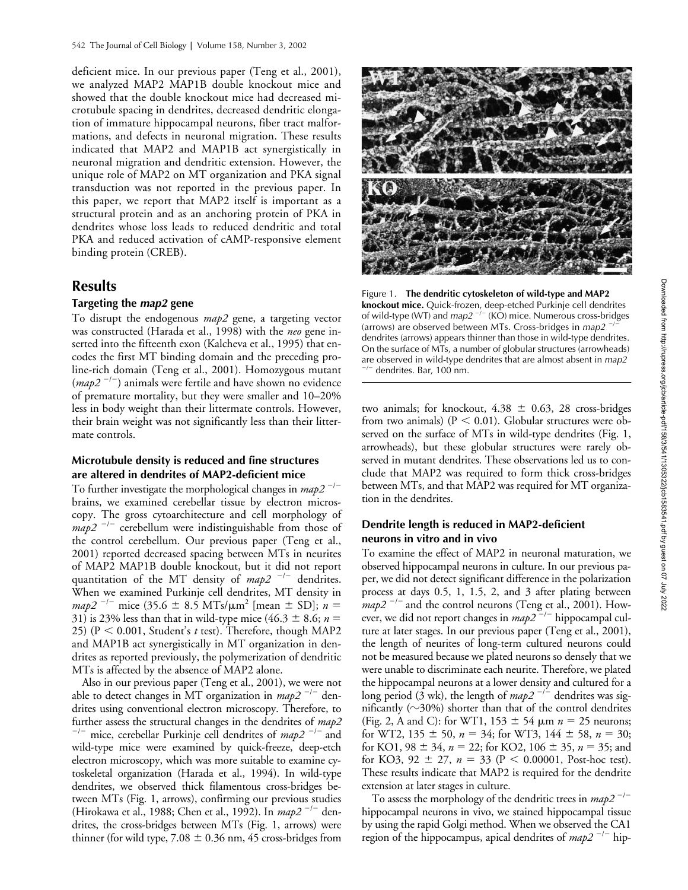deficient mice. In our previous paper (Teng et al., 2001), we analyzed MAP2 MAP1B double knockout mice and showed that the double knockout mice had decreased microtubule spacing in dendrites, decreased dendritic elongation of immature hippocampal neurons, fiber tract malformations, and defects in neuronal migration. These results indicated that MAP2 and MAP1B act synergistically in neuronal migration and dendritic extension. However, the unique role of MAP2 on MT organization and PKA signal transduction was not reported in the previous paper. In this paper, we report that MAP2 itself is important as a structural protein and as an anchoring protein of PKA in dendrites whose loss leads to reduced dendritic and total PKA and reduced activation of cAMP-responsive element binding protein (CREB).

## **Results**

### **Targeting the** *map2* **gene**

To disrupt the endogenous *map2* gene, a targeting vector was constructed (Harada et al., 1998) with the *neo* gene inserted into the fifteenth exon (Kalcheva et al., 1995) that encodes the first MT binding domain and the preceding proline-rich domain (Teng et al., 2001). Homozygous mutant (*map2<sup>-/-</sup>*) animals were fertile and have shown no evidence of premature mortality, but they were smaller and 10–20% less in body weight than their littermate controls. However, their brain weight was not significantly less than their littermate controls.

#### **Microtubule density is reduced and fine structures are altered in dendrites of MAP2-deficient mice**

To further investigate the morphological changes in *map2*<sup>-/-</sup> brains, we examined cerebellar tissue by electron microscopy. The gross cytoarchitecture and cell morphology of  $map2$ <sup> $-/-$ </sup> cerebellum were indistinguishable from those of the control cerebellum. Our previous paper (Teng et al., 2001) reported decreased spacing between MTs in neurites of MAP2 MAP1B double knockout, but it did not report quantitation of the MT density of *map2*<sup>-/-</sup> dendrites. When we examined Purkinje cell dendrites, MT density in  $map2^{-1}$  mice (35.6  $\pm$  8.5 MTs/ $\mu$ m<sup>2</sup> [mean  $\pm$  SD]; *n* = 31) is 23% less than that in wild-type mice (46.3  $\pm$  8.6; *n* = 25) ( $P < 0.001$ , Student's *t* test). Therefore, though MAP2 and MAP1B act synergistically in MT organization in dendrites as reported previously, the polymerization of dendritic MTs is affected by the absence of MAP2 alone.

Also in our previous paper (Teng et al., 2001), we were not able to detect changes in MT organization in *map2*<sup>-/-</sup> dendrites using conventional electron microscopy. Therefore, to further assess the structural changes in the dendrites of  $map2$ <sup>--</sup> mice, cerebellar Purkinje cell dendrites of *map2*<sup>-/-</sup> and wild-type mice were examined by quick-freeze, deep-etch electron microscopy, which was more suitable to examine cytoskeletal organization (Harada et al., 1994). In wild-type dendrites, we observed thick filamentous cross-bridges between MTs (Fig. 1, arrows), confirming our previous studies (Hirokawa et al., 1988; Chen et al., 1992). In *map2*<sup>-/-</sup> dendrites, the cross-bridges between MTs (Fig. 1, arrows) were thinner (for wild type,  $7.08 \pm 0.36$  nm, 45 cross-bridges from



Figure 1. **The dendritic cytoskeleton of wild-type and MAP2 knockout mice.** Quick-frozen, deep-etched Purkinje cell dendrites of wild-type (WT) and *map2*<sup>-/-</sup> (KO) mice. Numerous cross-bridges (arrows) are observed between MTs. Cross-bridges in *map2* -/dendrites (arrows) appears thinner than those in wild-type dendrites. On the surface of MTs, a number of globular structures (arrowheads) are observed in wild-type dendrites that are almost absent in *map2* -/dendrites. Bar, 100 nm.

two animals; for knockout,  $4.38 \pm 0.63$ , 28 cross-bridges from two animals) ( $P < 0.01$ ). Globular structures were observed on the surface of MTs in wild-type dendrites (Fig. 1, arrowheads), but these globular structures were rarely observed in mutant dendrites. These observations led us to conclude that MAP2 was required to form thick cross-bridges between MTs, and that MAP2 was required for MT organization in the dendrites.

#### **Dendrite length is reduced in MAP2-deficient neurons in vitro and in vivo**

To examine the effect of MAP2 in neuronal maturation, we observed hippocampal neurons in culture. In our previous paper, we did not detect significant difference in the polarization process at days 0.5, 1, 1.5, 2, and 3 after plating between  $map2$ <sup>-/-</sup> and the control neurons (Teng et al., 2001). However, we did not report changes in *map2*<sup>-/-</sup> hippocampal culture at later stages. In our previous paper (Teng et al., 2001), the length of neurites of long-term cultured neurons could not be measured because we plated neurons so densely that we were unable to discriminate each neurite. Therefore, we plated the hippocampal neurons at a lower density and cultured for a long period (3 wk), the length of  $map2^{-/-}$  dendrites was significantly ( $\sim$ 30%) shorter than that of the control dendrites (Fig. 2, A and C): for WT1,  $153 \pm 54$   $\mu$ m  $n = 25$  neurons; for WT2,  $135 \pm 50$ ,  $n = 34$ ; for WT3,  $144 \pm 58$ ,  $n = 30$ ; for KO1,  $98 \pm 34$ ,  $n = 22$ ; for KO2,  $106 \pm 35$ ,  $n = 35$ ; and for KO3, 92  $\pm$  27,  $n = 33$  (P < 0.00001, Post-hoc test). These results indicate that MAP2 is required for the dendrite extension at later stages in culture.

To assess the morphology of the dendritic trees in *map2<sup>-/-</sup>* hippocampal neurons in vivo, we stained hippocampal tissue by using the rapid Golgi method. When we observed the CA1 region of the hippocampus, apical dendrites of *map2*<sup>-/-</sup> hip-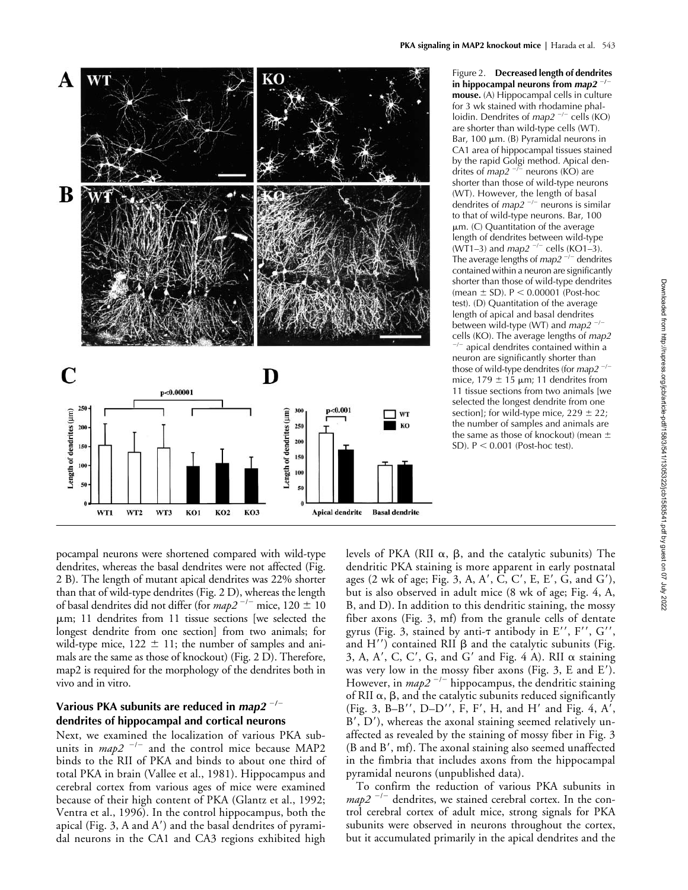

Figure 2. **Decreased length of dendrites in hippocampal neurons from** *map2* -**/mouse.** (A) Hippocampal cells in culture for 3 wk stained with rhodamine phalloidin. Dendrites of *map2*<sup>-/-</sup> cells (KO) are shorter than wild-type cells (WT). Bar, 100  $\mu$ m. (B) Pyramidal neurons in CA1 area of hippocampal tissues stained by the rapid Golgi method. Apical dendrites of *map2*<sup>-/-</sup> neurons (KO) are shorter than those of wild-type neurons (WT). However, the length of basal dendrites of *map2*<sup>-/-</sup> neurons is similar to that of wild-type neurons. Bar, 100  $µm.$  (C) Quantitation of the average length of dendrites between wild-type (WT1–3) and *map2*<sup>-/-</sup> cells (KO1–3). The average lengths of *map2<sup>-/-</sup>* dendrites contained within a neuron are significantly shorter than those of wild-type dendrites (mean  $\pm$  SD). P  $\leq$  0.00001 (Post-hoc test). (D) Quantitation of the average length of apical and basal dendrites between wild-type (WT) and *map2*<sup>-/-</sup> cells (KO). The average lengths of *map2*

-/ apical dendrites contained within a neuron are significantly shorter than those of wild-type dendrites (for *map2* -/ mice,  $179 \pm 15$  µm; 11 dendrites from 11 tissue sections from two animals [we selected the longest dendrite from one section]; for wild-type mice,  $229 \pm 22$ ; the number of samples and animals are the same as those of knockout) (mean  $\pm$ SD).  $P < 0.001$  (Post-hoc test).

pocampal neurons were shortened compared with wild-type dendrites, whereas the basal dendrites were not affected (Fig. 2 B). The length of mutant apical dendrites was 22% shorter than that of wild-type dendrites (Fig. 2 D), whereas the length of basal dendrites did not differ (for  $map2^{-/-}$  mice,  $120 \pm 10$ m; 11 dendrites from 11 tissue sections [we selected the longest dendrite from one section] from two animals; for wild-type mice,  $122 \pm 11$ ; the number of samples and animals are the same as those of knockout) (Fig. 2 D). Therefore, map2 is required for the morphology of the dendrites both in vivo and in vitro.

## **Various PKA subunits are reduced in** *map2* -**/ dendrites of hippocampal and cortical neurons**

Next, we examined the localization of various PKA subunits in  $map2^{-l-}$  and the control mice because MAP2 binds to the RII of PKA and binds to about one third of total PKA in brain (Vallee et al., 1981). Hippocampus and cerebral cortex from various ages of mice were examined because of their high content of PKA (Glantz et al., 1992; Ventra et al., 1996). In the control hippocampus, both the apical (Fig. 3, A and  $A'$ ) and the basal dendrites of pyramidal neurons in the CA1 and CA3 regions exhibited high

levels of PKA (RII  $\alpha$ ,  $\beta$ , and the catalytic subunits) The dendritic PKA staining is more apparent in early postnatal ages (2 wk of age; Fig. 3, A, A', C, C', E, E', G, and G'), but is also observed in adult mice (8 wk of age; Fig. 4, A, B, and D). In addition to this dendritic staining, the mossy fiber axons (Fig. 3, mf) from the granule cells of dentate gyrus (Fig. 3, stained by anti- $\tau$  antibody in E'', F'', G'', and  $H'$ ) contained RII  $\beta$  and the catalytic subunits (Fig. 3, A, A', C, C', G, and G' and Fig. 4 A). RII  $\alpha$  staining was very low in the mossy fiber axons (Fig. 3, E and E). However, in *map2*<sup>-/-</sup> hippocampus, the dendritic staining of RII  $\alpha$ ,  $\beta$ , and the catalytic subunits reduced significantly (Fig. 3, B-B'', D-D'', F, F', H, and H' and Fig. 4, A', B', D'), whereas the axonal staining seemed relatively unaffected as revealed by the staining of mossy fiber in Fig. 3 (B and B', mf). The axonal staining also seemed unaffected in the fimbria that includes axons from the hippocampal pyramidal neurons (unpublished data).

To confirm the reduction of various PKA subunits in  $map2$ <sup> $-/-$ </sup> dendrites, we stained cerebral cortex. In the control cerebral cortex of adult mice, strong signals for PKA subunits were observed in neurons throughout the cortex, but it accumulated primarily in the apical dendrites and the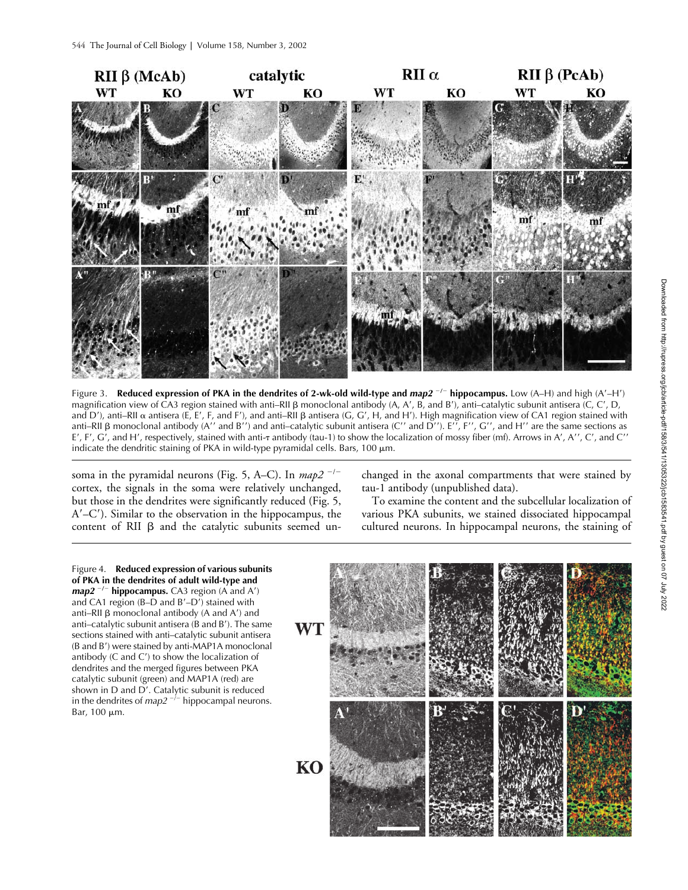

Figure 3. Reduced expression of PKA in the dendrites of 2-wk-old wild-type and  $map2^{-/-}$  hippocampus. Low (A–H) and high (A'–H') magnification view of CA3 region stained with anti–RII  $\beta$  monoclonal antibody (A, A', B, and B'), anti–catalytic subunit antisera (C, C', D, and D'), anti–RII  $\alpha$  antisera (E, E', F, and F'), and anti–RII  $\beta$  antisera (G, G', H, and H'). High magnification view of CA1 region stained with anti–RII  $\beta$  monoclonal antibody (A'' and B'') and anti–catalytic subunit antisera (C'' and D''). E'', F'', G'', and H'' are the same sections as E', F', G', and H', respectively, stained with anti-<del>1</del> antibody (tau-1) to show the localization of mossy fiber (mf). Arrows in A', A'', C', and C'' indicate the dendritic staining of PKA in wild-type pyramidal cells. Bars,  $100 \mu m$ .

soma in the pyramidal neurons (Fig. 5, A–C). In *map2*<sup>-/-</sup> cortex, the signals in the soma were relatively unchanged, but those in the dendrites were significantly reduced (Fig. 5, A–C). Similar to the observation in the hippocampus, the content of RII  $\beta$  and the catalytic subunits seemed unchanged in the axonal compartments that were stained by tau-1 antibody (unpublished data).

To examine the content and the subcellular localization of various PKA subunits, we stained dissociated hippocampal cultured neurons. In hippocampal neurons, the staining of

Figure 4. **Reduced expression of various subunits of PKA in the dendrites of adult wild-type and**  *map2*<sup>-/-</sup> hippocampus. CA3 region (A and A') and CA1 region (B–D and  $B'$ –D<sup>'</sup>) stained with anti–RII  $\beta$  monoclonal antibody (A and A') and anti–catalytic subunit antisera ( $\overline{B}$  and  $\overline{B}$ ). The same sections stained with anti–catalytic subunit antisera (B and B') were stained by anti-MAP1A monoclonal antibody (C and C') to show the localization of dendrites and the merged figures between PKA catalytic subunit (green) and MAP1A (red) are shown in  $D$  and  $D'$ . Catalytic subunit is reduced in the dendrites of  $map2^{-j-}$  hippocampal neurons. Bar, 100 μm.

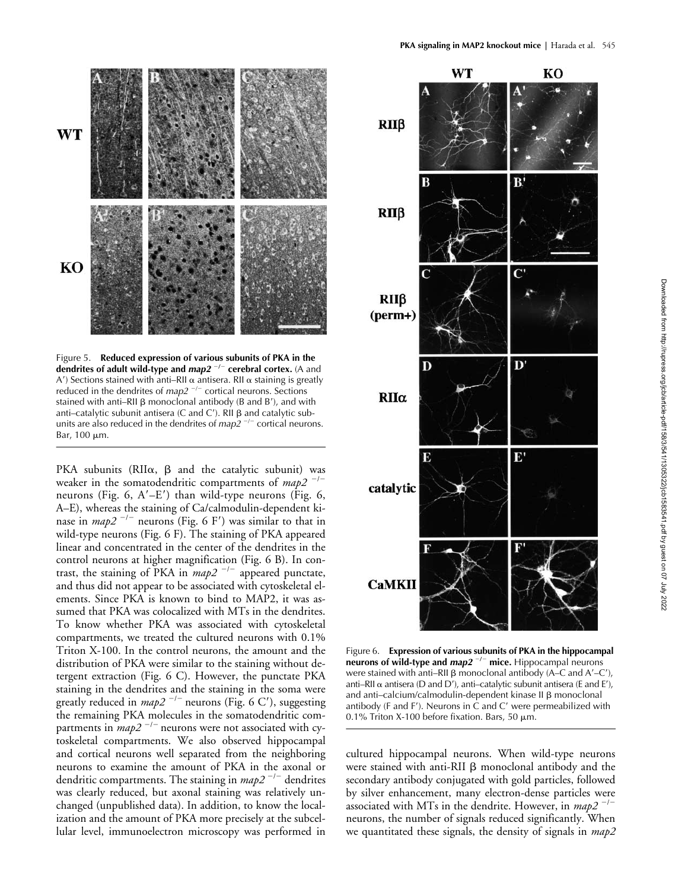



Figure 5. **Reduced expression of various subunits of PKA in the dendrites of adult wild-type and** *map2***<sup>-/-</sup> cerebral cortex. (A and** A') Sections stained with anti–RII  $\alpha$  antisera. RII  $\alpha$  staining is greatly reduced in the dendrites of *map2*<sup>-/-</sup> cortical neurons. Sections stained with anti–RII  $\beta$  monoclonal antibody (B and B'), and with anti-catalytic subunit antisera (C and C'). RII  $\beta$  and catalytic subunits are also reduced in the dendrites of *map2*<sup>-/-</sup> cortical neurons. Bar,  $100 \mu m$ .

PKA subunits (RII $\alpha$ ,  $\beta$  and the catalytic subunit) was weaker in the somatodendritic compartments of *map2*<sup>-/-</sup> neurons (Fig. 6,  $A'-E'$ ) than wild-type neurons (Fig. 6, A–E), whereas the staining of Ca/calmodulin-dependent kinase in *map2*<sup>-/-</sup> neurons (Fig. 6 F') was similar to that in wild-type neurons (Fig. 6 F). The staining of PKA appeared linear and concentrated in the center of the dendrites in the control neurons at higher magnification (Fig. 6 B). In contrast, the staining of PKA in  $map2^{-/-}$  appeared punctate, and thus did not appear to be associated with cytoskeletal elements. Since PKA is known to bind to MAP2, it was assumed that PKA was colocalized with MTs in the dendrites. To know whether PKA was associated with cytoskeletal compartments, we treated the cultured neurons with 0.1% Triton X-100. In the control neurons, the amount and the distribution of PKA were similar to the staining without detergent extraction (Fig. 6 C). However, the punctate PKA staining in the dendrites and the staining in the soma were greatly reduced in *map2*<sup>-/-</sup> neurons (Fig. 6 C'), suggesting the remaining PKA molecules in the somatodendritic compartments in *map2*<sup>-/-</sup> neurons were not associated with cytoskeletal compartments. We also observed hippocampal and cortical neurons well separated from the neighboring neurons to examine the amount of PKA in the axonal or dendritic compartments. The staining in *map2* <sup>-/-</sup> dendrites was clearly reduced, but axonal staining was relatively unchanged (unpublished data). In addition, to know the localization and the amount of PKA more precisely at the subcellular level, immunoelectron microscopy was performed in



Figure 6. **Expression of various subunits of PKA in the hippocampal neurons of wild-type and** *map2* -**/**- **mice.** Hippocampal neurons were stained with anti–RII  $\beta$  monoclonal antibody (A–C and A'–C'), anti–RII  $\alpha$  antisera (D and D'), anti–catalytic subunit antisera (E and E'), and anti-calcium/calmodulin-dependent kinase II ß monoclonal antibody (F and F'). Neurons in  $\dot{C}$  and  $C'$  were permeabilized with 0.1% Triton X-100 before fixation. Bars, 50  $\mu$ m.

cultured hippocampal neurons. When wild-type neurons were stained with anti-RII  $\beta$  monoclonal antibody and the secondary antibody conjugated with gold particles, followed by silver enhancement, many electron-dense particles were associated with MTs in the dendrite. However, in *map2* <sup>-/-</sup> neurons, the number of signals reduced significantly. When we quantitated these signals, the density of signals in *map2*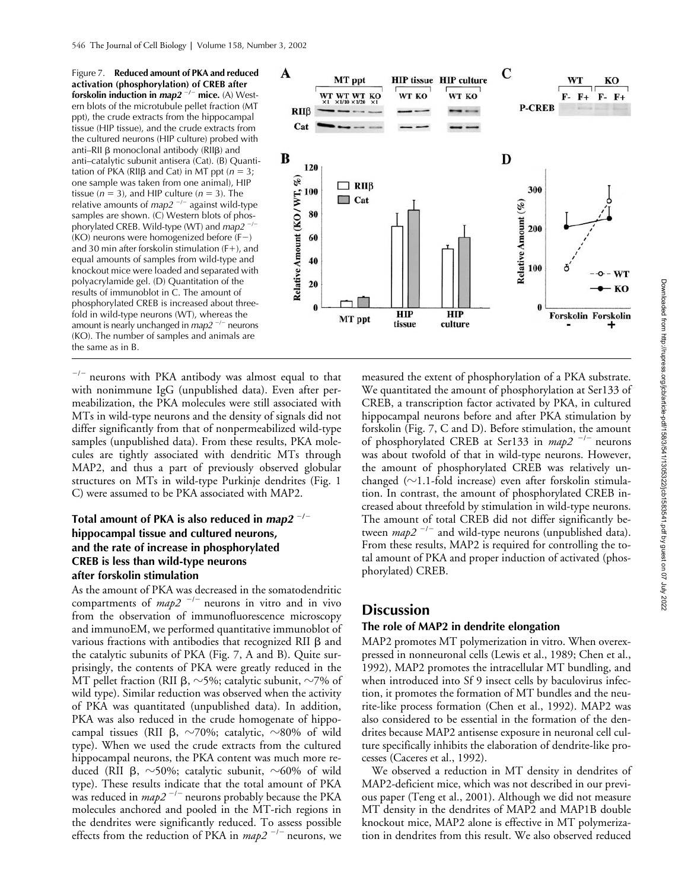Figure 7. **Reduced amount of PKA and reduced activation (phosphorylation) of CREB after forskolin induction in** *map2* -/- mice. (A) Western blots of the microtubule pellet fraction (MT ppt), the crude extracts from the hippocampal tissue (HIP tissue), and the crude extracts from the cultured neurons (HIP culture) probed with anti–RII  $\beta$  monoclonal antibody (RII $\beta$ ) and anti–catalytic subunit antisera (Cat). (B) Quantitation of PKA (RII $\beta$  and Cat) in MT ppt ( $n = 3$ ; one sample was taken from one animal), HIP tissue  $(n = 3)$ , and HIP culture  $(n = 3)$ . The relative amounts of *map2*<sup>-/-</sup> against wild-type samples are shown. (C) Western blots of phosphorylated CREB. Wild-type (WT) and *map2* -/-(KO) neurons were homogenized before (F-) and 30 min after forskolin stimulation  $(F+)$ , and equal amounts of samples from wild-type and knockout mice were loaded and separated with polyacrylamide gel. (D) Quantitation of the results of immunoblot in C. The amount of phosphorylated CREB is increased about threefold in wild-type neurons (WT), whereas the amount is nearly unchanged in *map2<sup>-/-</sup>* neurons (KO). The number of samples and animals are the same as in B.



 $^{-/-}$  neurons with PKA antibody was almost equal to that with nonimmune IgG (unpublished data). Even after permeabilization, the PKA molecules were still associated with MTs in wild-type neurons and the density of signals did not differ significantly from that of nonpermeabilized wild-type samples (unpublished data). From these results, PKA molecules are tightly associated with dendritic MTs through MAP2, and thus a part of previously observed globular structures on MTs in wild-type Purkinje dendrites (Fig. 1 C) were assumed to be PKA associated with MAP2.

## **Total amount of PKA is also reduced in** *map2* -**/ hippocampal tissue and cultured neurons, and the rate of increase in phosphorylated CREB is less than wild-type neurons after forskolin stimulation**

As the amount of PKA was decreased in the somatodendritic compartments of  $map2^{-/-}$  neurons in vitro and in vivo from the observation of immunofluorescence microscopy and immunoEM, we performed quantitative immunoblot of various fractions with antibodies that recognized RII  $\beta$  and the catalytic subunits of PKA (Fig. 7, A and B). Quite surprisingly, the contents of PKA were greatly reduced in the MT pellet fraction (RII  $\beta$ ,  $\sim$ 5%; catalytic subunit,  $\sim$ 7% of wild type). Similar reduction was observed when the activity of PKA was quantitated (unpublished data). In addition, PKA was also reduced in the crude homogenate of hippocampal tissues (RII  $\beta$ ,  $\sim$ 70%; catalytic,  $\sim$ 80% of wild type). When we used the crude extracts from the cultured hippocampal neurons, the PKA content was much more reduced (RII  $\beta$ , ~50%; catalytic subunit, ~60% of wild type). These results indicate that the total amount of PKA was reduced in *map2*<sup>-/-</sup> neurons probably because the PKA molecules anchored and pooled in the MT-rich regions in the dendrites were significantly reduced. To assess possible effects from the reduction of PKA in *map2*<sup>-/-</sup> neurons, we

measured the extent of phosphorylation of a PKA substrate. We quantitated the amount of phosphorylation at Ser133 of CREB, a transcription factor activated by PKA, in cultured hippocampal neurons before and after PKA stimulation by forskolin (Fig. 7, C and D). Before stimulation, the amount of phosphorylated CREB at Ser133 in *map2*<sup>-/-</sup> neurons was about twofold of that in wild-type neurons. However, the amount of phosphorylated CREB was relatively unchanged ( $\sim$ 1.1-fold increase) even after forskolin stimulation. In contrast, the amount of phosphorylated CREB increased about threefold by stimulation in wild-type neurons. The amount of total CREB did not differ significantly between  $map2^{-/-}$  and wild-type neurons (unpublished data). From these results, MAP2 is required for controlling the total amount of PKA and proper induction of activated (phosphorylated) CREB.

# **Discussion**

#### **The role of MAP2 in dendrite elongation**

MAP2 promotes MT polymerization in vitro. When overexpressed in nonneuronal cells (Lewis et al., 1989; Chen et al., 1992), MAP2 promotes the intracellular MT bundling, and when introduced into Sf 9 insect cells by baculovirus infection, it promotes the formation of MT bundles and the neurite-like process formation (Chen et al., 1992). MAP2 was also considered to be essential in the formation of the dendrites because MAP2 antisense exposure in neuronal cell culture specifically inhibits the elaboration of dendrite-like processes (Caceres et al., 1992).

We observed a reduction in MT density in dendrites of MAP2-deficient mice, which was not described in our previous paper (Teng et al., 2001). Although we did not measure MT density in the dendrites of MAP2 and MAP1B double knockout mice, MAP2 alone is effective in MT polymerization in dendrites from this result. We also observed reduced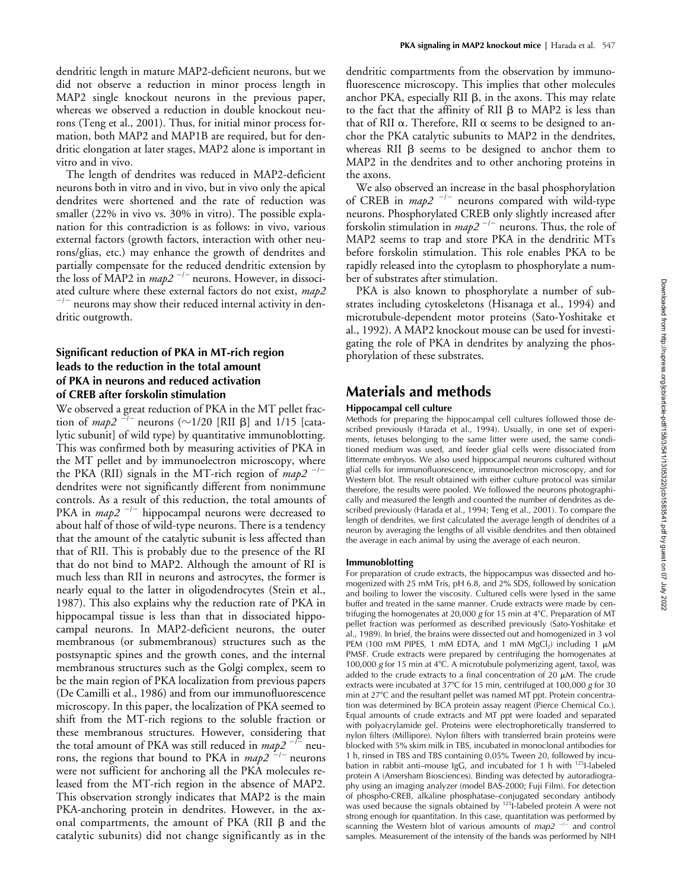dendritic length in mature MAP2-deficient neurons, but we did not observe a reduction in minor process length in MAP2 single knockout neurons in the previous paper, whereas we observed a reduction in double knockout neurons (Teng et al., 2001). Thus, for initial minor process formation, both MAP2 and MAP1B are required, but for dendritic elongation at later stages, MAP2 alone is important in vitro and in vivo.

The length of dendrites was reduced in MAP2-deficient neurons both in vitro and in vivo, but in vivo only the apical dendrites were shortened and the rate of reduction was smaller (22% in vivo vs. 30% in vitro). The possible explanation for this contradiction is as follows: in vivo, various external factors (growth factors, interaction with other neurons/glias, etc.) may enhance the growth of dendrites and partially compensate for the reduced dendritic extension by the loss of MAP2 in  $map2^{-/-}$  neurons. However, in dissociated culture where these external factors do not exist,  $map2$  $\sim$  neurons may show their reduced internal activity in dendritic outgrowth.

## **Significant reduction of PKA in MT-rich region leads to the reduction in the total amount of PKA in neurons and reduced activation of CREB after forskolin stimulation**

We observed a great reduction of PKA in the MT pellet fraction of *map2*  $^{-1}$  neurons ( $\sim$ 1/20 [RII  $\beta$ ] and 1/15 [catalytic subunit] of wild type) by quantitative immunoblotting. This was confirmed both by measuring activities of PKA in the MT pellet and by immunoelectron microscopy, where the PKA (RII) signals in the MT-rich region of *map2*<sup>-/-</sup> dendrites were not significantly different from nonimmune controls. As a result of this reduction, the total amounts of PKA in *map2*<sup>-/-</sup> hippocampal neurons were decreased to about half of those of wild-type neurons. There is a tendency that the amount of the catalytic subunit is less affected than that of RII. This is probably due to the presence of the RI that do not bind to MAP2. Although the amount of RI is much less than RII in neurons and astrocytes, the former is nearly equal to the latter in oligodendrocytes (Stein et al., 1987). This also explains why the reduction rate of PKA in hippocampal tissue is less than that in dissociated hippocampal neurons. In MAP2-deficient neurons, the outer membranous (or submembranous) structures such as the postsynaptic spines and the growth cones, and the internal membranous structures such as the Golgi complex, seem to be the main region of PKA localization from previous papers (De Camilli et al., 1986) and from our immunofluorescence microscopy. In this paper, the localization of PKA seemed to shift from the MT-rich regions to the soluble fraction or these membranous structures. However, considering that the total amount of PKA was still reduced in  $map2^{-/-}$  neurons, the regions that bound to PKA in *map2*<sup>-/-</sup> neurons were not sufficient for anchoring all the PKA molecules released from the MT-rich region in the absence of MAP2. This observation strongly indicates that MAP2 is the main PKA-anchoring protein in dendrites. However, in the axonal compartments, the amount of PKA (RII  $\beta$  and the catalytic subunits) did not change significantly as in the dendritic compartments from the observation by immunofluorescence microscopy. This implies that other molecules anchor PKA, especially RII  $\beta$ , in the axons. This may relate to the fact that the affinity of RII  $\beta$  to MAP2 is less than that of RII  $\alpha$ . Therefore, RII  $\alpha$  seems to be designed to anchor the PKA catalytic subunits to MAP2 in the dendrites, whereas RII  $\beta$  seems to be designed to anchor them to MAP2 in the dendrites and to other anchoring proteins in the axons.

We also observed an increase in the basal phosphorylation of CREB in *map2*<sup>-/-</sup> neurons compared with wild-type neurons. Phosphorylated CREB only slightly increased after forskolin stimulation in *map2*<sup>-/-</sup> neurons. Thus, the role of MAP2 seems to trap and store PKA in the dendritic MTs before forskolin stimulation. This role enables PKA to be rapidly released into the cytoplasm to phosphorylate a number of substrates after stimulation.

PKA is also known to phosphorylate a number of substrates including cytoskeletons (Hisanaga et al., 1994) and microtubule-dependent motor proteins (Sato-Yoshitake et al., 1992). A MAP2 knockout mouse can be used for investigating the role of PKA in dendrites by analyzing the phosphorylation of these substrates.

# **Materials and methods**

#### **Hippocampal cell culture**

Methods for preparing the hippocampal cell cultures followed those described previously (Harada et al., 1994). Usually, in one set of experiments, fetuses belonging to the same litter were used, the same conditioned medium was used, and feeder glial cells were dissociated from littermate embryos. We also used hippocampal neurons cultured without glial cells for immunofluorescence, immunoelectron microscopy, and for Western blot. The result obtained with either culture protocol was similar therefore, the results were pooled. We followed the neurons photographically and measured the length and counted the number of dendrites as described previously (Harada et al., 1994; Teng et al., 2001). To compare the length of dendrites, we first calculated the average length of dendrites of a neuron by averaging the lengths of all visible dendrites and then obtained the average in each animal by using the average of each neuron.

#### **Immunoblotting**

For preparation of crude extracts, the hippocampus was dissected and homogenized with 25 mM Tris, pH 6.8, and 2% SDS, followed by sonication and boiling to lower the viscosity. Cultured cells were lysed in the same buffer and treated in the same manner. Crude extracts were made by centrifuging the homogenates at 20,000 *g* for 15 min at 4C. Preparation of MT pellet fraction was performed as described previously (Sato-Yoshitake et al., 1989). In brief, the brains were dissected out and homogenized in 3 vol PEM (100 mM PIPES, 1 mM EDTA, and 1 mM MgCl<sub>2</sub>) including 1  $\mu$ M PMSF. Crude extracts were prepared by centrifuging the homogenates at 100,000 g for 15 min at 4°C. A microtubule polymerizing agent, taxol, was added to the crude extracts to a final concentration of 20  $\mu$ M. The crude extracts were incubated at 37°C for 15 min, centrifuged at 100,000 g for 30 min at 27°C and the resultant pellet was named MT ppt. Protein concentration was determined by BCA protein assay reagent (Pierce Chemical Co.). Equal amounts of crude extracts and MT ppt were loaded and separated with polyacrylamide gel. Proteins were electrophoretically transferred to nylon filters (Millipore). Nylon filters with transferred brain proteins were blocked with 5% skim milk in TBS, incubated in monoclonal antibodies for 1 h, rinsed in TBS and TBS containing 0.05% Tween 20, followed by incubation in rabbit anti-mouse IgG, and incubated for 1 h with <sup>125</sup>I-labeled protein A (Amersham Biosciences). Binding was detected by autoradiography using an imaging analyzer (model BAS-2000; Fuji Film). For detection of phospho-CREB, alkaline phosphatase–conjugated secondary antibody was used because the signals obtained by <sup>125</sup>I-labeled protein A were not strong enough for quantitation. In this case, quantitation was performed by scanning the Western blot of various amounts of *map2<sup>-/-</sup>* and control samples. Measurement of the intensity of the bands was performed by NIH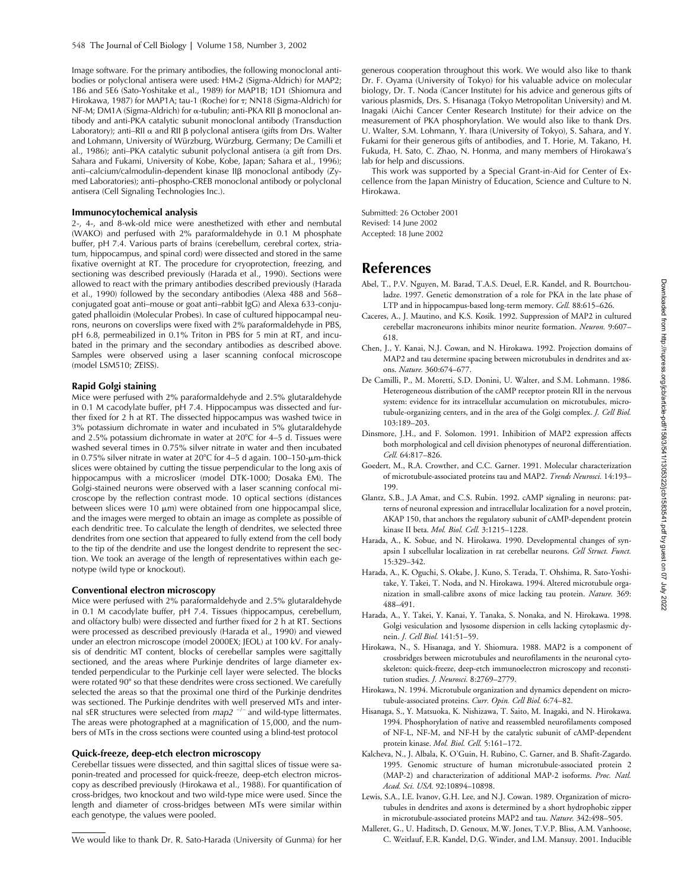Image software. For the primary antibodies, the following monoclonal antibodies or polyclonal antisera were used: HM-2 (Sigma-Aldrich) for MAP2; 1B6 and 5E6 (Sato-Yoshitake et al., 1989) for MAP1B; 1D1 (Shiomura and Hirokawa, 1987) for MAP1A; tau-1 (Roche) for ; NN18 (Sigma-Aldrich) for NF-M; DM1A (Sigma-Aldrich) for  $\alpha$ -tubulin; anti-PKA RII  $\beta$  monoclonal antibody and anti-PKA catalytic subunit monoclonal antibody (Transduction Laboratory); anti–RII  $\alpha$  and RII  $\beta$  polyclonal antisera (gifts from Drs. Walter and Lohmann, University of Würzburg, Würzburg, Germany; De Camilli et al., 1986); anti–PKA catalytic subunit polyclonal antisera (a gift from Drs. Sahara and Fukami, University of Kobe, Kobe, Japan; Sahara et al., 1996); anti-calcium/calmodulin-dependent kinase IIß monoclonal antibody (Zymed Laboratories); anti–phospho-CREB monoclonal antibody or polyclonal antisera (Cell Signaling Technologies Inc.).

#### **Immunocytochemical analysis**

2-, 4-, and 8-wk-old mice were anesthetized with ether and nembutal (WAKO) and perfused with 2% paraformaldehyde in 0.1 M phosphate buffer, pH 7.4. Various parts of brains (cerebellum, cerebral cortex, striatum, hippocampus, and spinal cord) were dissected and stored in the same fixative overnight at RT. The procedure for cryoprotection, freezing, and sectioning was described previously (Harada et al., 1990). Sections were allowed to react with the primary antibodies described previously (Harada et al., 1990) followed by the secondary antibodies (Alexa 488 and 568– conjugated goat anti–mouse or goat anti–rabbit IgG) and Alexa 633-conjugated phalloidin (Molecular Probes). In case of cultured hippocampal neurons, neurons on coverslips were fixed with 2% paraformaldehyde in PBS, pH 6.8, permeabilized in 0.1% Triton in PBS for 5 min at RT, and incubated in the primary and the secondary antibodies as described above. Samples were observed using a laser scanning confocal microscope (model LSM510; ZEISS).

#### **Rapid Golgi staining**

Mice were perfused with 2% paraformaldehyde and 2.5% glutaraldehyde in 0.1 M cacodylate buffer, pH 7.4. Hippocampus was dissected and further fixed for 2 h at RT. The dissected hippocampus was washed twice in 3% potassium dichromate in water and incubated in 5% glutaraldehyde and 2.5% potassium dichromate in water at  $20^{\circ}$ C for 4–5 d. Tissues were washed several times in 0.75% silver nitrate in water and then incubated in 0.75% silver nitrate in water at 20°C for 4–5 d again. 100–150- $\mu$ m-thick slices were obtained by cutting the tissue perpendicular to the long axis of hippocampus with a microslicer (model DTK-1000; Dosaka EM). The Golgi-stained neurons were observed with a laser scanning confocal microscope by the reflection contrast mode. 10 optical sections (distances between slices were 10  $\mu$ m) were obtained from one hippocampal slice, and the images were merged to obtain an image as complete as possible of each dendritic tree. To calculate the length of dendrites, we selected three dendrites from one section that appeared to fully extend from the cell body to the tip of the dendrite and use the longest dendrite to represent the section. We took an average of the length of representatives within each genotype (wild type or knockout).

#### **Conventional electron microscopy**

Mice were perfused with 2% paraformaldehyde and 2.5% glutaraldehyde in 0.1 M cacodylate buffer, pH 7.4. Tissues (hippocampus, cerebellum, and olfactory bulb) were dissected and further fixed for 2 h at RT. Sections were processed as described previously (Harada et al., 1990) and viewed under an electron microscope (model 2000EX; JEOL) at 100 kV. For analysis of dendritic MT content, blocks of cerebellar samples were sagittally sectioned, and the areas where Purkinje dendrites of large diameter extended perpendicular to the Purkinje cell layer were selected. The blocks were rotated 90° so that these dendrites were cross sectioned. We carefully selected the areas so that the proximal one third of the Purkinje dendrites was sectioned. The Purkinje dendrites with well preserved MTs and internal sER structures were selected from *map2*<sup>-/-</sup> and wild-type littermates. The areas were photographed at a magnification of 15,000, and the numbers of MTs in the cross sections were counted using a blind-test protocol

#### **Quick-freeze, deep-etch electron microscopy**

Cerebellar tissues were dissected, and thin sagittal slices of tissue were saponin-treated and processed for quick-freeze, deep-etch electron microscopy as described previously (Hirokawa et al., 1988). For quantification of cross-bridges, two knockout and two wild-type mice were used. Since the length and diameter of cross-bridges between MTs were similar within each genotype, the values were pooled.

We would like to thank Dr. R. Sato-Harada (University of Gunma) for her

generous cooperation throughout this work. We would also like to thank Dr. F. Oyama (University of Tokyo) for his valuable advice on molecular biology, Dr. T. Noda (Cancer Institute) for his advice and generous gifts of various plasmids, Drs. S. Hisanaga (Tokyo Metropolitan University) and M. Inagaki (Aichi Cancer Center Research Institute) for their advice on the measurement of PKA phosphorylation. We would also like to thank Drs. U. Walter, S.M. Lohmann, Y. Ihara (University of Tokyo), S. Sahara, and Y. Fukami for their generous gifts of antibodies, and T. Horie, M. Takano, H. Fukuda, H. Sato, C. Zhao, N. Honma, and many members of Hirokawa's lab for help and discussions.

This work was supported by a Special Grant-in-Aid for Center of Excellence from the Japan Ministry of Education, Science and Culture to N. Hirokawa.

Submitted: 26 October 2001 Revised: 14 June 2002 Accepted: 18 June 2002

## **References**

- Abel, T., P.V. Nguyen, M. Barad, T.A.S. Deuel, E.R. Kandel, and R. Bourtchouladze. 1997. Genetic demonstration of a role for PKA in the late phase of LTP and in hippocampus-based long-term memory. *Cell.* 88:615–626.
- Caceres, A., J. Mautino, and K.S. Kosik. 1992. Suppression of MAP2 in cultured cerebellar macroneurons inhibits minor neurite formation. *Neuron.* 9:607– 618.
- Chen, J., Y. Kanai, N.J. Cowan, and N. Hirokawa. 1992. Projection domains of MAP2 and tau determine spacing between microtubules in dendrites and axons. *Nature.* 360:674–677.
- De Camilli, P., M. Moretti, S.D. Donini, U. Walter, and S.M. Lohmann. 1986. Heterogeneous distribution of the cAMP receptor protein RII in the nervous system: evidence for its intracellular accumulation on microtubules, microtubule-organizing centers, and in the area of the Golgi complex. *J. Cell Biol.* 103:189–203.
- Dinsmore, J.H., and F. Solomon. 1991. Inhibition of MAP2 expression affects both morphological and cell division phenotypes of neuronal differentiation. *Cell.* 64:817–826.
- Goedert, M., R.A. Crowther, and C.C. Garner. 1991. Molecular characterization of microtubule-associated proteins tau and MAP2. *Trends Neurosci.* 14:193– 199.
- Glantz, S.B., J.A Amat, and C.S. Rubin. 1992. cAMP signaling in neurons: patterns of neuronal expression and intracellular localization for a novel protein, AKAP 150, that anchors the regulatory subunit of cAMP-dependent protein kinase II beta. *Mol. Biol. Cell.* 3:1215–1228.
- Harada, A., K. Sobue, and N. Hirokawa. 1990. Developmental changes of synapsin I subcellular localization in rat cerebellar neurons. *Cell Struct. Funct.* 15:329–342.
- Harada, A., K. Oguchi, S. Okabe, J. Kuno, S. Terada, T. Ohshima, R. Sato-Yoshitake, Y. Takei, T. Noda, and N. Hirokawa. 1994. Altered microtubule organization in small-calibre axons of mice lacking tau protein. *Nature.* 369: 488–491.
- Harada, A., Y. Takei, Y. Kanai, Y. Tanaka, S. Nonaka, and N. Hirokawa. 1998. Golgi vesiculation and lysosome dispersion in cells lacking cytoplasmic dynein. *J. Cell Biol.* 141:51–59.
- Hirokawa, N., S. Hisanaga, and Y. Shiomura. 1988. MAP2 is a component of crossbridges between microtubules and neurofilaments in the neuronal cytoskeleton: quick-freeze, deep-etch immunoelectron microscopy and reconstitution studies. *J. Neurosci.* 8:2769–2779.
- Hirokawa, N. 1994. Microtubule organization and dynamics dependent on microtubule-associated proteins. *Curr. Opin. Cell Biol.* 6:74–82.
- Hisanaga, S., Y. Matsuoka, K. Nishizawa, T. Saito, M. Inagaki, and N. Hirokawa. 1994. Phosphorylation of native and reassembled neurofilaments composed of NF-L, NF-M, and NF-H by the catalytic subunit of cAMP-dependent protein kinase. *Mol. Biol. Cell.* 5:161–172.
- Kalcheva, N., J. Albala, K. O'Guin, H. Rubino, C. Garner, and B. Shafit-Zagardo. 1995. Genomic structure of human microtubule-associated protein 2 (MAP-2) and characterization of additional MAP-2 isoforms. *Proc. Natl. Acad. Sci. USA.* 92:10894–10898.
- Lewis, S.A., I.E. Ivanov, G.H. Lee, and N.J. Cowan. 1989. Organization of microtubules in dendrites and axons is determined by a short hydrophobic zipper in microtubule-associated proteins MAP2 and tau. *Nature.* 342:498–505.
- Malleret, G., U. Haditsch, D. Genoux, M.W. Jones, T.V.P. Bliss, A.M. Vanhoose, C. Weitlauf, E.R. Kandel, D.G. Winder, and I.M. Mansuy. 2001. Inducible